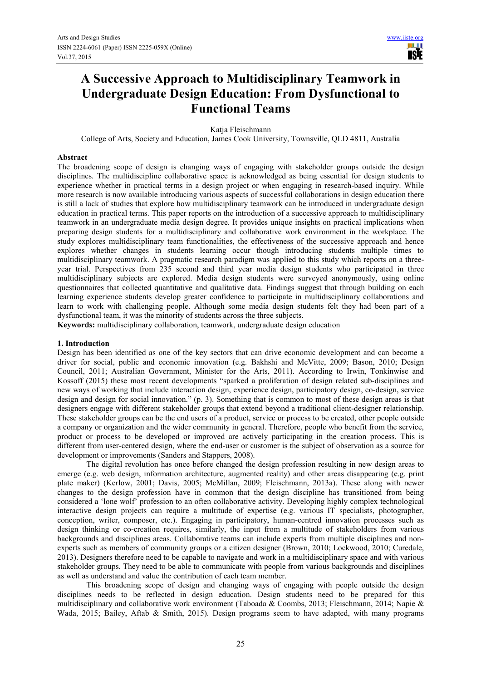# **A Successive Approach to Multidisciplinary Teamwork in Undergraduate Design Education: From Dysfunctional to Functional Teams**

#### Katia Fleischmann

College of Arts, Society and Education, James Cook University, Townsville, QLD 4811, Australia

#### **Abstract**

The broadening scope of design is changing ways of engaging with stakeholder groups outside the design disciplines. The multidiscipline collaborative space is acknowledged as being essential for design students to experience whether in practical terms in a design project or when engaging in research-based inquiry. While more research is now available introducing various aspects of successful collaborations in design education there is still a lack of studies that explore how multidisciplinary teamwork can be introduced in undergraduate design education in practical terms. This paper reports on the introduction of a successive approach to multidisciplinary teamwork in an undergraduate media design degree. It provides unique insights on practical implications when preparing design students for a multidisciplinary and collaborative work environment in the workplace. The study explores multidisciplinary team functionalities, the effectiveness of the successive approach and hence explores whether changes in students learning occur though introducing students multiple times to multidisciplinary teamwork. A pragmatic research paradigm was applied to this study which reports on a threeyear trial. Perspectives from 235 second and third year media design students who participated in three multidisciplinary subjects are explored. Media design students were surveyed anonymously, using online questionnaires that collected quantitative and qualitative data. Findings suggest that through building on each learning experience students develop greater confidence to participate in multidisciplinary collaborations and learn to work with challenging people. Although some media design students felt they had been part of a dysfunctional team, it was the minority of students across the three subjects.

**Keywords:** multidisciplinary collaboration, teamwork, undergraduate design education

#### **1. Introduction**

Design has been identified as one of the key sectors that can drive economic development and can become a driver for social, public and economic innovation (e.g. Bakhshi and McVitte, 2009; Bason, 2010; Design Council, 2011; Australian Government, Minister for the Arts, 2011). According to Irwin, Tonkinwise and Kossoff (2015) these most recent developments "sparked a proliferation of design related sub-disciplines and new ways of working that include interaction design, experience design, participatory design, co-design, service design and design for social innovation." (p. 3). Something that is common to most of these design areas is that designers engage with different stakeholder groups that extend beyond a traditional client-designer relationship. These stakeholder groups can be the end users of a product, service or process to be created, other people outside a company or organization and the wider community in general. Therefore, people who benefit from the service, product or process to be developed or improved are actively participating in the creation process. This is different from user-centered design, where the end-user or customer is the subject of observation as a source for development or improvements (Sanders and Stappers, 2008).

The digital revolution has once before changed the design profession resulting in new design areas to emerge (e.g. web design, information architecture, augmented reality) and other areas disappearing (e.g. print plate maker) (Kerlow, 2001; Davis, 2005; McMillan, 2009; Fleischmann, 2013a). These along with newer changes to the design profession have in common that the design discipline has transitioned from being considered a 'lone wolf' profession to an often collaborative activity. Developing highly complex technological interactive design projects can require a multitude of expertise (e.g. various IT specialists, photographer, conception, writer, composer, etc.). Engaging in participatory, human-centred innovation processes such as design thinking or co-creation requires, similarly, the input from a multitude of stakeholders from various backgrounds and disciplines areas. Collaborative teams can include experts from multiple disciplines and nonexperts such as members of community groups or a citizen designer (Brown, 2010; Lockwood, 2010; Curedale, 2013). Designers therefore need to be capable to navigate and work in a multidisciplinary space and with various stakeholder groups. They need to be able to communicate with people from various backgrounds and disciplines as well as understand and value the contribution of each team member.

This broadening scope of design and changing ways of engaging with people outside the design disciplines needs to be reflected in design education. Design students need to be prepared for this multidisciplinary and collaborative work environment (Taboada & Coombs, 2013; Fleischmann, 2014; Napie & Wada, 2015; Bailey, Aftab & Smith, 2015). Design programs seem to have adapted, with many programs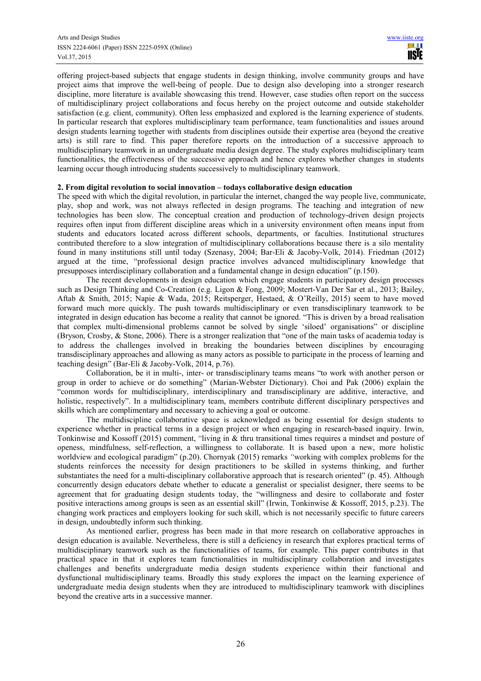offering project-based subjects that engage students in design thinking, involve community groups and have project aims that improve the well-being of people. Due to design also developing into a stronger research discipline, more literature is available showcasing this trend. However, case studies often report on the success of multidisciplinary project collaborations and focus hereby on the project outcome and outside stakeholder satisfaction (e.g. client, community). Often less emphasized and explored is the learning experience of students. In particular research that explores multidisciplinary team performance, team functionalities and issues around design students learning together with students from disciplines outside their expertise area (beyond the creative arts) is still rare to find. This paper therefore reports on the introduction of a successive approach to multidisciplinary teamwork in an undergraduate media design degree. The study explores multidisciplinary team functionalities, the effectiveness of the successive approach and hence explores whether changes in students learning occur though introducing students successively to multidisciplinary teamwork.

### **2. From digital revolution to social innovation – todays collaborative design education**

The speed with which the digital revolution, in particular the internet, changed the way people live, communicate, play, shop and work, was not always reflected in design programs. The teaching and integration of new technologies has been slow. The conceptual creation and production of technology-driven design projects requires often input from different discipline areas which in a university environment often means input from students and educators located across different schools, departments, or faculties. Institutional structures contributed therefore to a slow integration of multidisciplinary collaborations because there is a silo mentality found in many institutions still until today (Szenasy, 2004; Bar-Eli & Jacoby-Volk, 2014). Friedman (2012) argued at the time, "professional design practice involves advanced multidisciplinary knowledge that presupposes interdisciplinary collaboration and a fundamental change in design education" (p.150).

The recent developments in design education which engage students in participatory design processes such as Design Thinking and Co-Creation (e.g. Ligon & Fong, 2009; Mostert-Van Der Sar et al., 2013; Bailey, Aftab & Smith, 2015; Napie & Wada, 2015; Reitsperger, Hestaed, & O'Reilly, 2015) seem to have moved forward much more quickly. The push towards multidisciplinary or even transdisciplinary teamwork to be integrated in design education has become a reality that cannot be ignored. "This is driven by a broad realisation that complex multi-dimensional problems cannot be solved by single 'siloed' organisations" or discipline (Bryson, Crosby, & Stone, 2006). There is a stronger realization that "one of the main tasks of academia today is to address the challenges involved in breaking the boundaries between disciplines by encouraging transdisciplinary approaches and allowing as many actors as possible to participate in the process of learning and teaching design" (Bar-Eli & Jacoby-Volk, 2014, p.76).

Collaboration, be it in multi-, inter- or transdisciplinary teams means "to work with another person or group in order to achieve or do something" (Marian-Webster Dictionary). Choi and Pak (2006) explain the "common words for multidisciplinary, interdisciplinary and transdisciplinary are additive, interactive, and holistic, respectively". In a multidisciplinary team, members contribute different disciplinary perspectives and skills which are complimentary and necessary to achieving a goal or outcome.

The multidiscipline collaborative space is acknowledged as being essential for design students to experience whether in practical terms in a design project or when engaging in research-based inquiry. Irwin, Tonkinwise and Kossoff (2015) comment, "living in & thru transitional times requires a mindset and posture of openess, mindfulness, self-reflection, a willingness to collaborate. It is based upon a new, more holistic worldview and ecological paradigm" (p.20). Chornyak (2015) remarks *"*working with complex problems for the students reinforces the necessity for design practitioners to be skilled in systems thinking, and further substantiates the need for a multi-disciplinary collaborative approach that is research oriented" (p. 45). Although concurrently design educators debate whether to educate a generalist or specialist designer, there seems to be agreement that for graduating design students today, the "willingness and desire to collaborate and foster positive interactions among groups is seen as an essential skill" (Irwin, Tonkinwise & Kossoff, 2015, p.23). The changing work practices and employers looking for such skill, which is not necessarily specific to future careers in design, undoubtedly inform such thinking.

As mentioned earlier, progress has been made in that more research on collaborative approaches in design education is available. Nevertheless, there is still a deficiency in research that explores practical terms of multidisciplinary teamwork such as the functionalities of teams, for example. This paper contributes in that practical space in that it explores team functionalities in multidisciplinary collaboration and investigates challenges and benefits undergraduate media design students experience within their functional and dysfunctional multidisciplinary teams. Broadly this study explores the impact on the learning experience of undergraduate media design students when they are introduced to multidisciplinary teamwork with disciplines beyond the creative arts in a successive manner.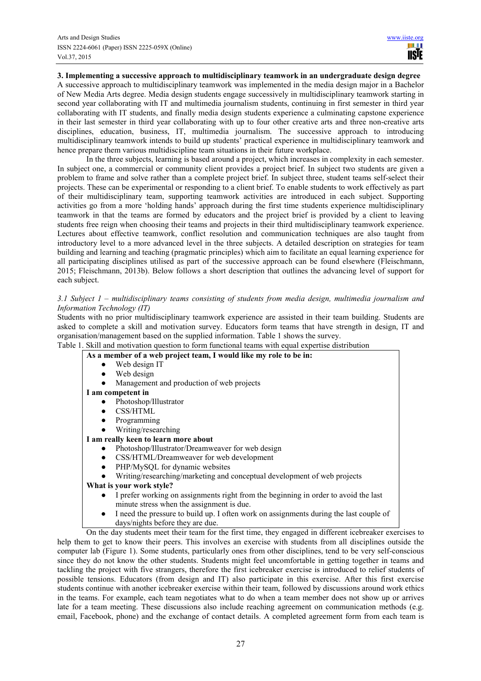# **3. Implementing a successive approach to multidisciplinary teamwork in an undergraduate design degree**

A successive approach to multidisciplinary teamwork was implemented in the media design major in a Bachelor of New Media Arts degree. Media design students engage successively in multidisciplinary teamwork starting in second year collaborating with IT and multimedia journalism students, continuing in first semester in third year collaborating with IT students, and finally media design students experience a culminating capstone experience in their last semester in third year collaborating with up to four other creative arts and three non-creative arts disciplines, education, business, IT, multimedia journalism. The successive approach to introducing multidisciplinary teamwork intends to build up students' practical experience in multidisciplinary teamwork and hence prepare them various multidiscipline team situations in their future workplace.

In the three subjects, learning is based around a project, which increases in complexity in each semester. In subject one, a commercial or community client provides a project brief. In subject two students are given a problem to frame and solve rather than a complete project brief. In subject three, student teams self-select their projects. These can be experimental or responding to a client brief. To enable students to work effectively as part of their multidisciplinary team, supporting teamwork activities are introduced in each subject. Supporting activities go from a more 'holding hands' approach during the first time students experience multidisciplinary teamwork in that the teams are formed by educators and the project brief is provided by a client to leaving students free reign when choosing their teams and projects in their third multidisciplinary teamwork experience. Lectures about effective teamwork, conflict resolution and communication techniques are also taught from introductory level to a more advanced level in the three subjects. A detailed description on strategies for team building and learning and teaching (pragmatic principles) which aim to facilitate an equal learning experience for all participating disciplines utilised as part of the successive approach can be found elsewhere (Fleischmann, 2015; Fleischmann, 2013b). Below follows a short description that outlines the advancing level of support for each subject.

# *3.1 Subject 1 – multidisciplinary teams consisting of students from media design, multimedia journalism and Information Technology (IT)*

Students with no prior multidisciplinary teamwork experience are assisted in their team building. Students are asked to complete a skill and motivation survey. Educators form teams that have strength in design, IT and organisation/management based on the supplied information. Table 1 shows the survey.

|  |  |  | Table 1. Skill and motivation question to form functional teams with equal expertise distribution |  |  |  |  |  |  |  |  |
|--|--|--|---------------------------------------------------------------------------------------------------|--|--|--|--|--|--|--|--|
|--|--|--|---------------------------------------------------------------------------------------------------|--|--|--|--|--|--|--|--|

| As a member of a web project team, I would like my role to be in:                                   |
|-----------------------------------------------------------------------------------------------------|
| Web design IT<br>$\bullet$                                                                          |
| Web design                                                                                          |
| Management and production of web projects                                                           |
| I am competent in                                                                                   |
| Photoshop/Illustrator                                                                               |
| CSS/HTML<br>$\bullet$                                                                               |
| Programming                                                                                         |
| Writing/researching                                                                                 |
| I am really keen to learn more about                                                                |
| Photoshop/Illustrator/Dreamweaver for web design                                                    |
| CSS/HTML/Dreamweaver for web development<br>$\bullet$                                               |
| PHP/MySQL for dynamic websites                                                                      |
| Writing/researching/marketing and conceptual development of web projects                            |
| What is your work style?                                                                            |
| I prefer working on assignments right from the beginning in order to avoid the last                 |
| minute stress when the assignment is due.                                                           |
| I need the pressure to build up. I often work on assignments during the last couple of<br>$\bullet$ |
| days/nights before they are due.                                                                    |
| On the day students meet their team for the first time, they engaged in different icebreaker ever   |

On the day students meet their team for the first time, they engaged in different icebreaker exercises to help them to get to know their peers. This involves an exercise with students from all disciplines outside the computer lab (Figure 1). Some students, particularly ones from other disciplines, tend to be very self-conscious since they do not know the other students. Students might feel uncomfortable in getting together in teams and tackling the project with five strangers, therefore the first icebreaker exercise is introduced to relief students of possible tensions. Educators (from design and IT) also participate in this exercise. After this first exercise students continue with another icebreaker exercise within their team, followed by discussions around work ethics in the teams. For example, each team negotiates what to do when a team member does not show up or arrives late for a team meeting. These discussions also include reaching agreement on communication methods (e.g. email, Facebook, phone) and the exchange of contact details. A completed agreement form from each team is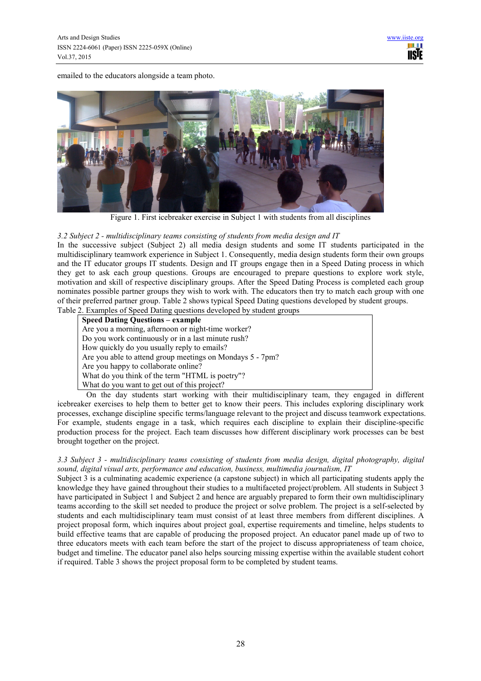emailed to the educators alongside a team photo.



Figure 1. First icebreaker exercise in Subject 1 with students from all disciplines

# *3.2 Subject 2 - multidisciplinary teams consisting of students from media design and IT*

In the successive subject (Subject 2) all media design students and some IT students participated in the multidisciplinary teamwork experience in Subject 1. Consequently, media design students form their own groups and the IT educator groups IT students. Design and IT groups engage then in a Speed Dating process in which they get to ask each group questions. Groups are encouraged to prepare questions to explore work style, motivation and skill of respective disciplinary groups. After the Speed Dating Process is completed each group nominates possible partner groups they wish to work with. The educators then try to match each group with one of their preferred partner group. Table 2 shows typical Speed Dating questions developed by student groups. Table 2. Examples of Speed Dating questions developed by student groups

| $\frac{1}{2}$ . Examples of speed Butting questions developed by stadent groups |
|---------------------------------------------------------------------------------|
| <b>Speed Dating Questions – example</b>                                         |
| Are you a morning, afternoon or night-time worker?                              |
| Do you work continuously or in a last minute rush?                              |
| How quickly do you usually reply to emails?                                     |
| Are you able to attend group meetings on Mondays 5 - 7pm?                       |
| Are you happy to collaborate online?                                            |
| What do you think of the term "HTML is poetry"?                                 |
| What do you want to get out of this project?                                    |

On the day students start working with their multidisciplinary team, they engaged in different icebreaker exercises to help them to better get to know their peers. This includes exploring disciplinary work processes, exchange discipline specific terms/language relevant to the project and discuss teamwork expectations. For example, students engage in a task, which requires each discipline to explain their discipline-specific production process for the project. Each team discusses how different disciplinary work processes can be best brought together on the project.

# *3.3 Subject 3 - multidisciplinary teams consisting of students from media design, digital photography, digital sound, digital visual arts, performance and education, business, multimedia journalism, IT*

Subject 3 is a culminating academic experience (a capstone subject) in which all participating students apply the knowledge they have gained throughout their studies to a multifaceted project/problem. All students in Subject 3 have participated in Subject 1 and Subject 2 and hence are arguably prepared to form their own multidisciplinary teams according to the skill set needed to produce the project or solve problem. The project is a self-selected by students and each multidisciplinary team must consist of at least three members from different disciplines. A project proposal form, which inquires about project goal, expertise requirements and timeline, helps students to build effective teams that are capable of producing the proposed project. An educator panel made up of two to three educators meets with each team before the start of the project to discuss appropriateness of team choice, budget and timeline. The educator panel also helps sourcing missing expertise within the available student cohort if required. Table 3 shows the project proposal form to be completed by student teams.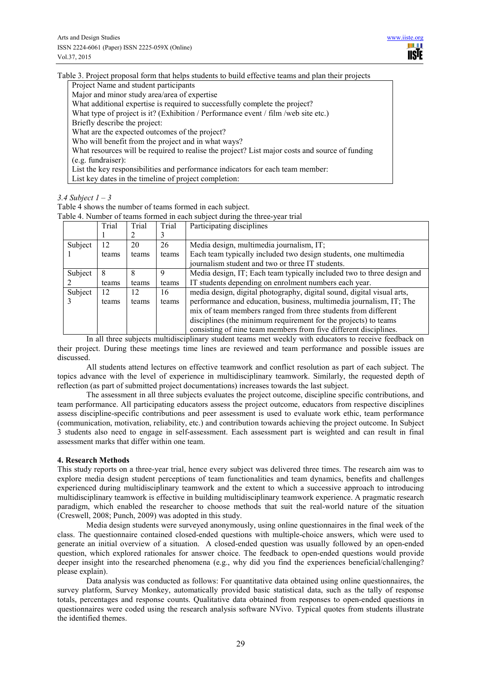Table 3. Project proposal form that helps students to build effective teams and plan their projects

Project Name and student participants

Major and minor study area/area of expertise

What additional expertise is required to successfully complete the project?

What type of project is it? (Exhibition / Performance event / film /web site etc.)

Briefly describe the project:

What are the expected outcomes of the project?

Who will benefit from the project and in what ways?

What resources will be required to realise the project? List major costs and source of funding (e.g. fundraiser):

List the key responsibilities and performance indicators for each team member:

List key dates in the timeline of project completion:

*3.4 Subject 1 – 3* 

Table 4 shows the number of teams formed in each subject.

| able 4. indiffused of teams formed in each subject during the times-year trial |       |       |       |                                                                        |  |  |  |
|--------------------------------------------------------------------------------|-------|-------|-------|------------------------------------------------------------------------|--|--|--|
|                                                                                | Trial | Trial | Trial | Participating disciplines                                              |  |  |  |
|                                                                                |       |       |       |                                                                        |  |  |  |
| Subject                                                                        | 12    | 20    | 26    | Media design, multimedia journalism, IT;                               |  |  |  |
|                                                                                | teams | teams | teams | Each team typically included two design students, one multimedia       |  |  |  |
|                                                                                |       |       |       | journalism student and two or three IT students.                       |  |  |  |
| Subject                                                                        |       |       | 9     | Media design, IT; Each team typically included two to three design and |  |  |  |
|                                                                                | teams | teams | teams | IT students depending on enrolment numbers each year.                  |  |  |  |
| Subject                                                                        | 12    | 12    | 16.   | media design, digital photography, digital sound, digital visual arts, |  |  |  |
|                                                                                | teams | teams | teams | performance and education, business, multimedia journalism, IT; The    |  |  |  |
|                                                                                |       |       |       | mix of team members ranged from three students from different          |  |  |  |
|                                                                                |       |       |       | disciplines (the minimum requirement for the projects) to teams        |  |  |  |
|                                                                                |       |       |       | consisting of nine team members from five different disciplines.       |  |  |  |

Table 4. Number of teams formed in each subject during the three-year trial

In all three subjects multidisciplinary student teams met weekly with educators to receive feedback on their project. During these meetings time lines are reviewed and team performance and possible issues are discussed.

All students attend lectures on effective teamwork and conflict resolution as part of each subject. The topics advance with the level of experience in multidisciplinary teamwork. Similarly, the requested depth of reflection (as part of submitted project documentations) increases towards the last subject.

The assessment in all three subjects evaluates the project outcome, discipline specific contributions, and team performance. All participating educators assess the project outcome, educators from respective disciplines assess discipline-specific contributions and peer assessment is used to evaluate work ethic, team performance (communication, motivation, reliability, etc.) and contribution towards achieving the project outcome. In Subject 3 students also need to engage in self-assessment. Each assessment part is weighted and can result in final assessment marks that differ within one team.

# **4. Research Methods**

This study reports on a three-year trial, hence every subject was delivered three times. The research aim was to explore media design student perceptions of team functionalities and team dynamics, benefits and challenges experienced during multidisciplinary teamwork and the extent to which a successive approach to introducing multidisciplinary teamwork is effective in building multidisciplinary teamwork experience. A pragmatic research paradigm, which enabled the researcher to choose methods that suit the real-world nature of the situation (Creswell, 2008; Punch, 2009) was adopted in this study.

Media design students were surveyed anonymously, using online questionnaires in the final week of the class. The questionnaire contained closed-ended questions with multiple-choice answers, which were used to generate an initial overview of a situation. A closed-ended question was usually followed by an open-ended question, which explored rationales for answer choice. The feedback to open-ended questions would provide deeper insight into the researched phenomena (e.g., why did you find the experiences beneficial/challenging? please explain).

Data analysis was conducted as follows: For quantitative data obtained using online questionnaires, the survey platform, Survey Monkey, automatically provided basic statistical data, such as the tally of response totals, percentages and response counts. Qualitative data obtained from responses to open-ended questions in questionnaires were coded using the research analysis software NVivo. Typical quotes from students illustrate the identified themes.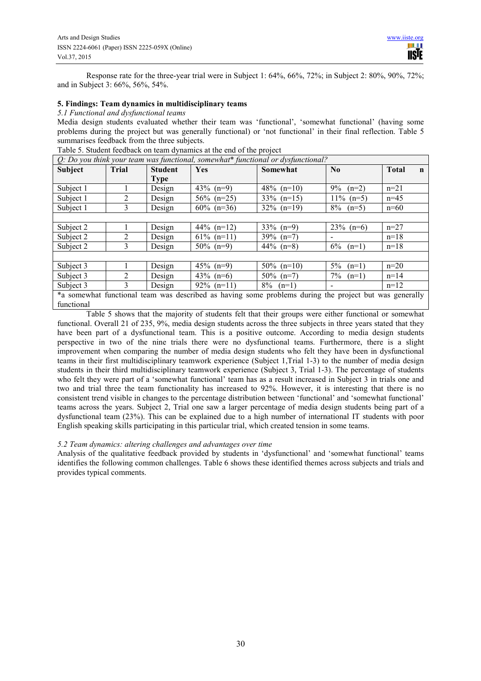Response rate for the three-year trial were in Subject 1: 64%, 66%, 72%; in Subject 2: 80%, 90%, 72%; and in Subject 3: 66%, 56%, 54%.

#### **5. Findings: Team dynamics in multidisciplinary teams**

*5.1 Functional and dysfunctional teams* 

Media design students evaluated whether their team was 'functional', 'somewhat functional' (having some problems during the project but was generally functional) or 'not functional' in their final reflection. Table 5 summarises feedback from the three subjects.

| O: Do you think your team was functional, somewhat* functional or dysfunctional? |                                                                                                        |                |               |                  |                              |                             |  |  |
|----------------------------------------------------------------------------------|--------------------------------------------------------------------------------------------------------|----------------|---------------|------------------|------------------------------|-----------------------------|--|--|
| <b>Subject</b>                                                                   | Trial                                                                                                  | <b>Student</b> | Yes           | Somewhat         | $\bf No$                     | <b>Total</b><br>$\mathbf n$ |  |  |
|                                                                                  |                                                                                                        | Type           |               |                  |                              |                             |  |  |
| Subject 1                                                                        |                                                                                                        | Design         | 43\% $(n=9)$  | 48% $(n=10)$     | $9\%$<br>$(n=2)$             | $n=21$                      |  |  |
| Subject 1                                                                        | 2                                                                                                      | Design         | $56\%$ (n=25) | $33\%$ (n=15)    | $11\%$ (n=5)                 | $n=45$                      |  |  |
| Subject 1                                                                        | 3                                                                                                      | Design         | $60\%$ (n=36) | $32\%$ (n=19)    | $8\%$<br>$(n=5)$             | $n=60$                      |  |  |
|                                                                                  |                                                                                                        |                |               |                  |                              |                             |  |  |
| Subject 2                                                                        |                                                                                                        | Design         | 44% $(n=12)$  | $33\%$ (n=9)     | $23\%$ (n=6)                 | $n=27$                      |  |  |
| Subject 2                                                                        | 2                                                                                                      | Design         | $61\%$ (n=11) | $39\%$ (n=7)     |                              | $n=18$                      |  |  |
| Subject 2                                                                        | 3                                                                                                      | Design         | $50\%$ (n=9)  | $44\%$ (n=8)     | $6\%$<br>$(n=1)$             | $n=18$                      |  |  |
|                                                                                  |                                                                                                        |                |               |                  |                              |                             |  |  |
| Subject 3                                                                        |                                                                                                        | Design         | $45\%$ (n=9)  | $50\%$ (n=10)    | $5\%$<br>$(n=1)$             | $n=20$                      |  |  |
| Subject 3                                                                        | 2                                                                                                      | Design         | 43\% $(n=6)$  | $50\%$ (n=7)     | 7%<br>$(n=1)$                | $n=14$                      |  |  |
| Subject 3                                                                        | 3                                                                                                      | Design         | $92\%$ (n=11) | $8\%$<br>$(n=1)$ | $\qquad \qquad \blacksquare$ | $n=12$                      |  |  |
|                                                                                  | *a somewhat functional team was described as having some problems during the project but was generally |                |               |                  |                              |                             |  |  |

Table 5. Student feedback on team dynamics at the end of the project

a somewhat functional team was described as having some problems during the project but was functional

Table 5 shows that the majority of students felt that their groups were either functional or somewhat functional. Overall 21 of 235, 9%, media design students across the three subjects in three years stated that they have been part of a dysfunctional team. This is a positive outcome. According to media design students perspective in two of the nine trials there were no dysfunctional teams. Furthermore, there is a slight improvement when comparing the number of media design students who felt they have been in dysfunctional teams in their first multidisciplinary teamwork experience (Subject 1,Trial 1-3) to the number of media design students in their third multidisciplinary teamwork experience (Subject 3, Trial 1-3). The percentage of students who felt they were part of a 'somewhat functional' team has as a result increased in Subject 3 in trials one and two and trial three the team functionality has increased to 92%. However, it is interesting that there is no consistent trend visible in changes to the percentage distribution between 'functional' and 'somewhat functional' teams across the years. Subject 2, Trial one saw a larger percentage of media design students being part of a dysfunctional team (23%). This can be explained due to a high number of international IT students with poor English speaking skills participating in this particular trial, which created tension in some teams.

# *5.2 Team dynamics: altering challenges and advantages over time*

Analysis of the qualitative feedback provided by students in 'dysfunctional' and 'somewhat functional' teams identifies the following common challenges. Table 6 shows these identified themes across subjects and trials and provides typical comments.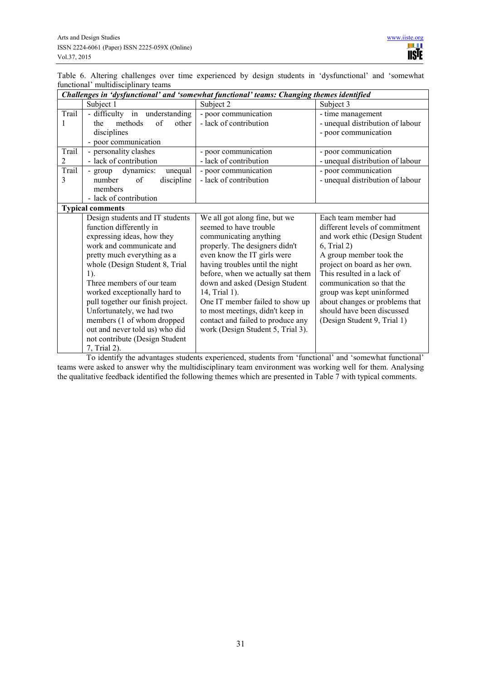|  |                                     |  |  |  | Table 6. Altering challenges over time experienced by design students in 'dysfunctional' and 'somewhat |  |
|--|-------------------------------------|--|--|--|--------------------------------------------------------------------------------------------------------|--|
|  | functional' multidisciplinary teams |  |  |  |                                                                                                        |  |

|       | Challenges in 'dysfunctional' and 'somewhat functional' teams: Changing themes identified |                                   |                                  |  |  |  |  |  |  |
|-------|-------------------------------------------------------------------------------------------|-----------------------------------|----------------------------------|--|--|--|--|--|--|
|       | Subject 1                                                                                 | Subject 2                         | Subject 3                        |  |  |  |  |  |  |
| Trail | - difficulty in understanding                                                             | - poor communication              | - time management                |  |  |  |  |  |  |
|       | of<br>methods<br>other<br>the                                                             | - lack of contribution            | - unequal distribution of labour |  |  |  |  |  |  |
|       | disciplines                                                                               |                                   | - poor communication             |  |  |  |  |  |  |
|       | - poor communication                                                                      |                                   |                                  |  |  |  |  |  |  |
| Trail | - personality clashes                                                                     | - poor communication              | - poor communication             |  |  |  |  |  |  |
| 2     | - lack of contribution                                                                    | - lack of contribution            | - unequal distribution of labour |  |  |  |  |  |  |
| Trail | dynamics:<br>unequal<br>- group                                                           | - poor communication              | - poor communication             |  |  |  |  |  |  |
| 3     | of<br>discipline<br>number                                                                | - lack of contribution            | - unequal distribution of labour |  |  |  |  |  |  |
|       | members                                                                                   |                                   |                                  |  |  |  |  |  |  |
|       | - lack of contribution                                                                    |                                   |                                  |  |  |  |  |  |  |
|       | <b>Typical comments</b>                                                                   |                                   |                                  |  |  |  |  |  |  |
|       | Design students and IT students                                                           | We all got along fine, but we     | Each team member had             |  |  |  |  |  |  |
|       | function differently in                                                                   | seemed to have trouble            | different levels of commitment   |  |  |  |  |  |  |
|       | expressing ideas, how they                                                                | communicating anything            | and work ethic (Design Student   |  |  |  |  |  |  |
|       | work and communicate and                                                                  | properly. The designers didn't    | 6, Trial 2)                      |  |  |  |  |  |  |
|       | pretty much everything as a                                                               | even know the IT girls were       | A group member took the          |  |  |  |  |  |  |
|       | whole (Design Student 8, Trial                                                            | having troubles until the night   | project on board as her own.     |  |  |  |  |  |  |
|       | $1$ ).                                                                                    | before, when we actually sat them | This resulted in a lack of       |  |  |  |  |  |  |
|       | Three members of our team                                                                 | down and asked (Design Student    | communication so that the        |  |  |  |  |  |  |
|       | worked exceptionally hard to                                                              | 14, Trial 1).                     | group was kept uninformed        |  |  |  |  |  |  |
|       | pull together our finish project.                                                         | One IT member failed to show up   | about changes or problems that   |  |  |  |  |  |  |
|       | Unfortunately, we had two                                                                 | to most meetings, didn't keep in  | should have been discussed       |  |  |  |  |  |  |
|       | members (1 of whom dropped                                                                | contact and failed to produce any | (Design Student 9, Trial 1)      |  |  |  |  |  |  |
|       | out and never told us) who did                                                            | work (Design Student 5, Trial 3). |                                  |  |  |  |  |  |  |
|       | not contribute (Design Student                                                            |                                   |                                  |  |  |  |  |  |  |
|       | 7, Trial 2).                                                                              |                                   |                                  |  |  |  |  |  |  |

To identify the advantages students experienced, students from 'functional' and 'somewhat functional' teams were asked to answer why the multidisciplinary team environment was working well for them. Analysing the qualitative feedback identified the following themes which are presented in Table 7 with typical comments.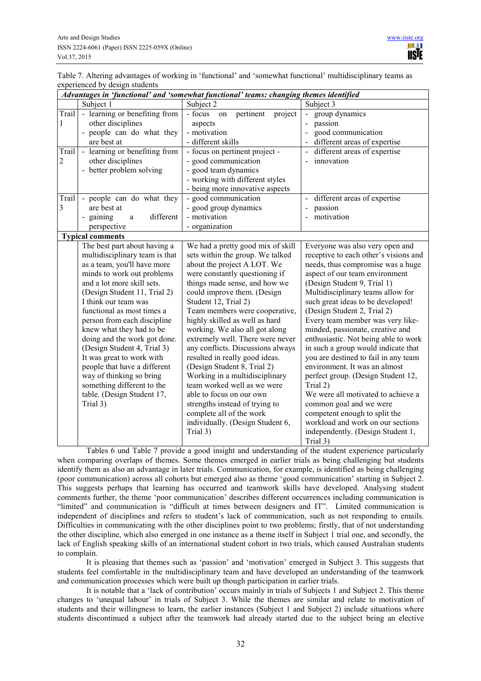Table 7. Altering advantages of working in 'functional' and 'somewhat functional' multidisciplinary teams as experienced by design students

|                | Advantages in 'functional' and 'somewhat functional' teams: changing themes identified |                                         |                                       |  |  |  |  |  |
|----------------|----------------------------------------------------------------------------------------|-----------------------------------------|---------------------------------------|--|--|--|--|--|
|                | Subject 1                                                                              | Subject 2                               | Subject 3                             |  |  |  |  |  |
| Trail          | - learning or benefiting from                                                          | $-$ focus<br>pertinent<br>project<br>on | group dynamics                        |  |  |  |  |  |
| 1              | other disciplines                                                                      | aspects                                 | passion                               |  |  |  |  |  |
|                | people can do what they                                                                | - motivation                            | good communication                    |  |  |  |  |  |
|                | are best at                                                                            | - different skills                      | different areas of expertise          |  |  |  |  |  |
| Trail          | - learning or benefiting from                                                          | - focus on pertinent project -          | different areas of expertise          |  |  |  |  |  |
| $\overline{c}$ | other disciplines                                                                      | - good communication                    | innovation                            |  |  |  |  |  |
|                | - better problem solving                                                               | - good team dynamics                    |                                       |  |  |  |  |  |
|                |                                                                                        | - working with different styles         |                                       |  |  |  |  |  |
|                |                                                                                        | - being more innovative aspects         |                                       |  |  |  |  |  |
| Trail          | - people can do what they                                                              | - good communication                    | different areas of expertise          |  |  |  |  |  |
| 3              | are best at                                                                            | - good group dynamics                   | $\overline{a}$<br>passion             |  |  |  |  |  |
|                | different<br>gaining<br>a<br>$\overline{\phantom{a}}$                                  | - motivation                            | motivation<br>$\overline{a}$          |  |  |  |  |  |
|                | perspective                                                                            | - organization                          |                                       |  |  |  |  |  |
|                | <b>Typical comments</b>                                                                |                                         |                                       |  |  |  |  |  |
|                | The best part about having a                                                           | We had a pretty good mix of skill       | Everyone was also very open and       |  |  |  |  |  |
|                | multidisciplinary team is that                                                         | sets within the group. We talked        | receptive to each other's visions and |  |  |  |  |  |
|                | as a team, you'll have more                                                            | about the project A LOT. We             | needs, thus compromise was a huge     |  |  |  |  |  |
|                | minds to work out problems                                                             | were constantly questioning if          | aspect of our team environment        |  |  |  |  |  |
|                | and a lot more skill sets.                                                             | things made sense, and how we           | (Design Student 9, Trial 1)           |  |  |  |  |  |
|                | (Design Student 11, Trial 2)                                                           | could improve them. (Design             | Multidisciplinary teams allow for     |  |  |  |  |  |
|                | I think our team was                                                                   | Student 12, Trial 2)                    | such great ideas to be developed!     |  |  |  |  |  |
|                | functional as most times a                                                             | Team members were cooperative,          | (Design Student 2, Trial 2)           |  |  |  |  |  |
|                | person from each discipline                                                            | highly skilled as well as hard          | Every team member was very like-      |  |  |  |  |  |
|                | knew what they had to be                                                               | working. We also all got along          | minded, passionate, creative and      |  |  |  |  |  |
|                | doing and the work got done.                                                           | extremely well. There were never        | enthusiastic. Not being able to work  |  |  |  |  |  |
|                | (Design Student 4, Trial 3)                                                            | any conflicts. Discussions always       | in such a group would indicate that   |  |  |  |  |  |
|                | It was great to work with                                                              | resulted in really good ideas.          | you are destined to fail in any team  |  |  |  |  |  |
|                | people that have a different                                                           | (Design Student 8, Trial 2)             | environment. It was an almost         |  |  |  |  |  |
|                | way of thinking so bring                                                               | Working in a multidisciplinary          | perfect group. (Design Student 12,    |  |  |  |  |  |
|                | something different to the                                                             | team worked well as we were             | Trial 2)                              |  |  |  |  |  |
|                | table. (Design Student 17,                                                             | able to focus on our own                | We were all motivated to achieve a    |  |  |  |  |  |
|                | Trial 3)                                                                               | strengths instead of trying to          | common goal and we were               |  |  |  |  |  |
|                |                                                                                        | complete all of the work                | competent enough to split the         |  |  |  |  |  |
|                |                                                                                        | individually. (Design Student 6,        | workload and work on our sections     |  |  |  |  |  |
|                |                                                                                        | Trial 3)                                | independently. (Design Student 1,     |  |  |  |  |  |
|                |                                                                                        |                                         | Trial 3)                              |  |  |  |  |  |

Tables 6 und Table 7 provide a good insight and understanding of the student experience particularly when comparing overlaps of themes. Some themes emerged in earlier trials as being challenging but students identify them as also an advantage in later trials. Communication, for example, is identified as being challenging (poor communication) across all cohorts but emerged also as theme 'good communication' starting in Subject 2. This suggests perhaps that learning has occurred and teamwork skills have developed. Analysing student comments further, the theme 'poor communication' describes different occurrences including communication is "limited" and communication is "difficult at times between designers and IT". Limited communication is independent of disciplines and refers to student's lack of communication, such as not responding to emails. Difficulties in communicating with the other disciplines point to two problems; firstly, that of not understanding the other discipline, which also emerged in one instance as a theme itself in Subject 1 trial one, and secondly, the lack of English speaking skills of an international student cohort in two trials, which caused Australian students to complain.

It is pleasing that themes such as 'passion' and 'motivation' emerged in Subject 3. This suggests that students feel comfortable in the multidisciplinary team and have developed an understanding of the teamwork and communication processes which were built up though participation in earlier trials.

It is notable that a 'lack of contribution' occurs mainly in trials of Subjects 1 and Subject 2. This theme changes to 'unequal labour' in trials of Subject 3. While the themes are similar and relate to motivation of students and their willingness to learn, the earlier instances (Subject 1 and Subject 2) include situations where students discontinued a subject after the teamwork had already started due to the subject being an elective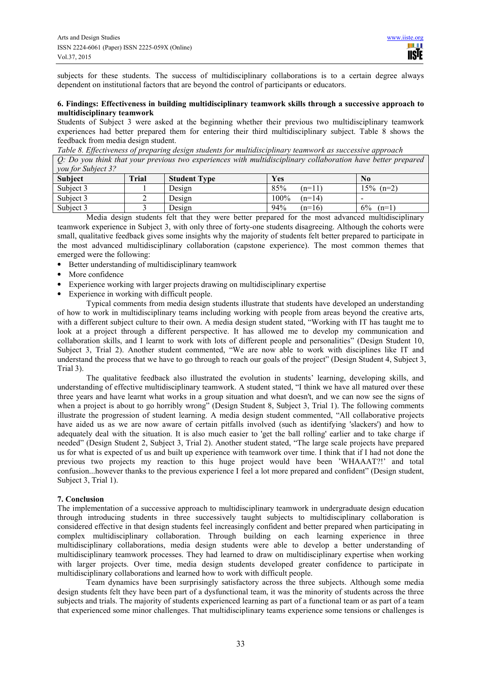subjects for these students. The success of multidisciplinary collaborations is to a certain degree always dependent on institutional factors that are beyond the control of participants or educators.

### **6. Findings: Effectiveness in building multidisciplinary teamwork skills through a successive approach to multidisciplinary teamwork**

Students of Subject 3 were asked at the beginning whether their previous two multidisciplinary teamwork experiences had better prepared them for entering their third multidisciplinary subject. Table 8 shows the feedback from media design student.

*Table 8. Effectiveness of preparing design students for multidisciplinary teamwork as successive approach* 

*Q: Do you think that your previous two experiences with multidisciplinary collaboration have better prepared you for Subject 3?* 

| <i>vou joi baoject s.</i><br>Subject | <b>Trial</b> | <b>Student Type</b> | Yes              | $\bf No$                 |
|--------------------------------------|--------------|---------------------|------------------|--------------------------|
| Subject 3                            |              | Design              | 85%<br>$(n=11)$  | $15\%$ (n=2)             |
| Subject 3                            |              | Design              | 100%<br>$(n=14)$ | $\overline{\phantom{0}}$ |
| Subject 3                            |              | Design              | 94%<br>$(n=16)$  | 6%<br>$(n=1)$            |

Media design students felt that they were better prepared for the most advanced multidisciplinary teamwork experience in Subject 3, with only three of forty-one students disagreeing. Although the cohorts were small, qualitative feedback gives some insights why the majority of students felt better prepared to participate in the most advanced multidisciplinary collaboration (capstone experience). The most common themes that emerged were the following:

- Better understanding of multidisciplinary teamwork
- More confidence
- Experience working with larger projects drawing on multidisciplinary expertise
- Experience in working with difficult people.

Typical comments from media design students illustrate that students have developed an understanding of how to work in multidisciplinary teams including working with people from areas beyond the creative arts, with a different subject culture to their own. A media design student stated, "Working with IT has taught me to look at a project through a different perspective. It has allowed me to develop my communication and collaboration skills, and I learnt to work with lots of different people and personalities" (Design Student 10, Subject 3, Trial 2). Another student commented, "We are now able to work with disciplines like IT and understand the process that we have to go through to reach our goals of the project" (Design Student 4, Subject 3, Trial 3).

The qualitative feedback also illustrated the evolution in students' learning, developing skills, and understanding of effective multidisciplinary teamwork. A student stated, "I think we have all matured over these three years and have learnt what works in a group situation and what doesn't, and we can now see the signs of when a project is about to go horribly wrong" (Design Student 8, Subject 3, Trial 1). The following comments illustrate the progression of student learning. A media design student commented, "All collaborative projects have aided us as we are now aware of certain pitfalls involved (such as identifying 'slackers') and how to adequately deal with the situation. It is also much easier to 'get the ball rolling' earlier and to take charge if needed" (Design Student 2, Subject 3, Trial 2). Another student stated, "The large scale projects have prepared us for what is expected of us and built up experience with teamwork over time. I think that if I had not done the previous two projects my reaction to this huge project would have been 'WHAAAT?!' and total confusion...however thanks to the previous experience I feel a lot more prepared and confident" (Design student, Subject 3, Trial 1).

# **7. Conclusion**

The implementation of a successive approach to multidisciplinary teamwork in undergraduate design education through introducing students in three successively taught subjects to multidisciplinary collaboration is considered effective in that design students feel increasingly confident and better prepared when participating in complex multidisciplinary collaboration. Through building on each learning experience in three multidisciplinary collaborations, media design students were able to develop a better understanding of multidisciplinary teamwork processes. They had learned to draw on multidisciplinary expertise when working with larger projects. Over time, media design students developed greater confidence to participate in multidisciplinary collaborations and learned how to work with difficult people.

Team dynamics have been surprisingly satisfactory across the three subjects. Although some media design students felt they have been part of a dysfunctional team, it was the minority of students across the three subjects and trials. The majority of students experienced learning as part of a functional team or as part of a team that experienced some minor challenges. That multidisciplinary teams experience some tensions or challenges is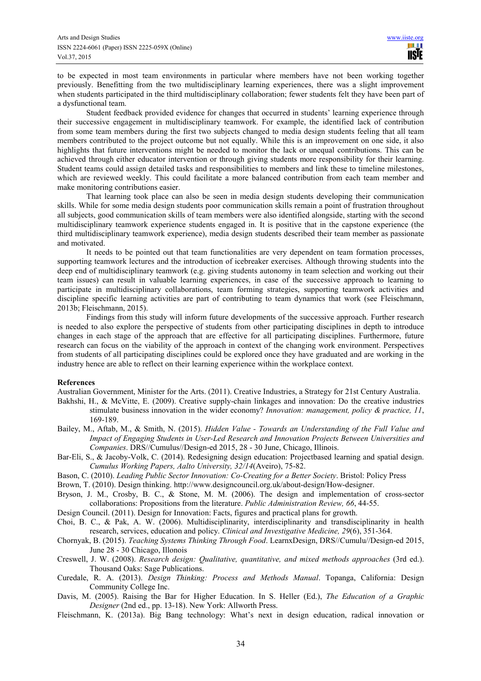to be expected in most team environments in particular where members have not been working together previously. Benefitting from the two multidisciplinary learning experiences, there was a slight improvement when students participated in the third multidisciplinary collaboration; fewer students felt they have been part of a dysfunctional team.

Student feedback provided evidence for changes that occurred in students' learning experience through their successive engagement in multidisciplinary teamwork. For example, the identified lack of contribution from some team members during the first two subjects changed to media design students feeling that all team members contributed to the project outcome but not equally. While this is an improvement on one side, it also highlights that future interventions might be needed to monitor the lack or unequal contributions. This can be achieved through either educator intervention or through giving students more responsibility for their learning. Student teams could assign detailed tasks and responsibilities to members and link these to timeline milestones, which are reviewed weekly. This could facilitate a more balanced contribution from each team member and make monitoring contributions easier.

That learning took place can also be seen in media design students developing their communication skills. While for some media design students poor communication skills remain a point of frustration throughout all subjects, good communication skills of team members were also identified alongside, starting with the second multidisciplinary teamwork experience students engaged in. It is positive that in the capstone experience (the third multidisciplinary teamwork experience), media design students described their team member as passionate and motivated.

It needs to be pointed out that team functionalities are very dependent on team formation processes, supporting teamwork lectures and the introduction of icebreaker exercises. Although throwing students into the deep end of multidisciplinary teamwork (e.g. giving students autonomy in team selection and working out their team issues) can result in valuable learning experiences, in case of the successive approach to learning to participate in multidisciplinary collaborations, team forming strategies, supporting teamwork activities and discipline specific learning activities are part of contributing to team dynamics that work (see Fleischmann, 2013b; Fleischmann, 2015).

Findings from this study will inform future developments of the successive approach. Further research is needed to also explore the perspective of students from other participating disciplines in depth to introduce changes in each stage of the approach that are effective for all participating disciplines. Furthermore, future research can focus on the viability of the approach in context of the changing work environment. Perspectives from students of all participating disciplines could be explored once they have graduated and are working in the industry hence are able to reflect on their learning experience within the workplace context.

#### **References**

Australian Government, Minister for the Arts. (2011). Creative Industries, a Strategy for 21st Century Australia.

- Bakhshi, H., & McVitte, E. (2009). Creative supply-chain linkages and innovation: Do the creative industries stimulate business innovation in the wider economy? *Innovation: management, policy & practice, 11*, 169-189.
- Bailey, M., Aftab, M., & Smith, N. (2015). *Hidden Value Towards an Understanding of the Full Value and Impact of Engaging Students in User-Led Research and Innovation Projects Between Universities and Companies*. DRS//Cumulus//Design-ed 2015, 28 - 30 June, Chicago, Illinois.
- Bar-Eli, S., & Jacoby-Volk, C. (2014). Redesigning design education: Projectbased learning and spatial design. *Cumulus Working Papers, Aalto University, 32/14*(Aveiro), 75-82.
- Bason, C. (2010). *Leading Public Sector Innovation: Co-Creating for a Better Society*. Bristol: Policy Press
- Brown, T. (2010). Design thinking. http://www.designcouncil.org.uk/about-design/How-designer.
- Bryson, J. M., Crosby, B. C., & Stone, M. M. (2006). The design and implementation of cross-sector collaborations: Propositions from the literature. *Public Administration Review, 66*, 44-55.
- Design Council. (2011). Design for Innovation: Facts, figures and practical plans for growth.
- Choi, B. C., & Pak, A. W. (2006). Multidisciplinarity, interdisciplinarity and transdisciplinarity in health research, services, education and policy. *Clinical and Investigative Medicine, 29*(6), 351-364.
- Chornyak, B. (2015). *Teaching Systems Thinking Through Food*. LearnxDesign, DRS//Cumulu//Design-ed 2015, June 28 - 30 Chicago, Illonois
- Creswell, J. W. (2008). *Research design: Qualitative, quantitative, and mixed methods approaches* (3rd ed.). Thousand Oaks: Sage Publications.
- Curedale, R. A. (2013). *Design Thinking: Process and Methods Manual*. Topanga, California: Design Community College Inc.
- Davis, M. (2005). Raising the Bar for Higher Education. In S. Heller (Ed.), *The Education of a Graphic Designer* (2nd ed., pp. 13-18). New York: Allworth Press.
- Fleischmann, K. (2013a). Big Bang technology: What's next in design education, radical innovation or